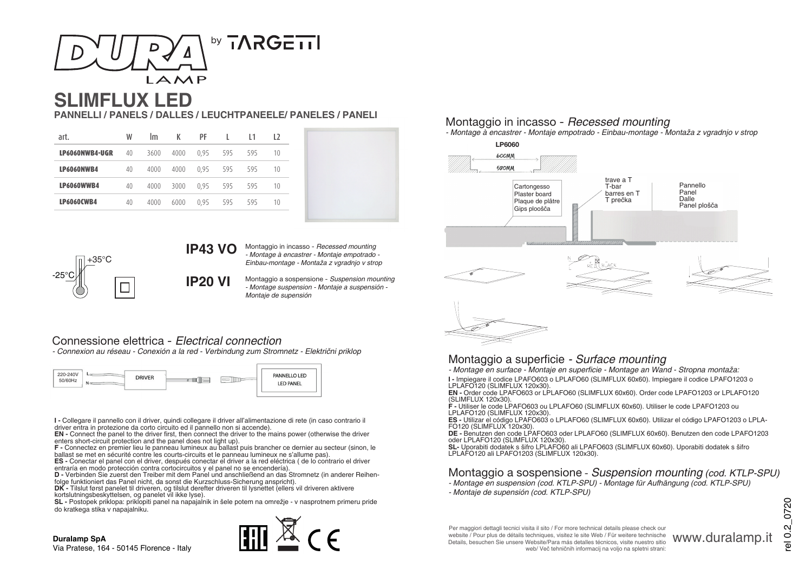

# **SLIMFLUX LED**

**PANNELLI / PANELS / DALLES / LEUCHTPANEELE/ PANELES / PANELI**

| art.              | W  | Im   | K    | PF   | I.  | 11  | 12 |
|-------------------|----|------|------|------|-----|-----|----|
| LP6060NWB4-UGR    | 40 | 3600 | 4000 | 0.95 | 595 | 595 | 10 |
| LP6060NWB4        | 40 | 4000 | 4000 | 0.95 | 595 | 595 | 10 |
| <b>LP6060WWB4</b> | 40 | 4000 | 3000 | 0.95 | 595 | 595 | 10 |
| <b>LP6060CWB4</b> | 40 | 4000 | 6000 | 0.95 | 595 | 595 | 10 |



**IP43 VO**

Montaggio in incasso - *Recessed mounting* - Montage à encastrer - Montaje empotrado - Einbau-montage - Montaža z vgradnjo v strop

Montaggio a sospensione - Suspension mounting - Montage suspension - Montaje a suspensión - Montaje de supensión

# Connessione elettrica - *Electrical connection*

- Connexion au réseau - Conexión a la red - Verbindung zum Stromnetz - Električni priklop

**IP20 VI**



**I -** Collegare il pannello con il driver, quindi collegare il driver all'alimentazione di rete (in caso contrario il

driver entra in protezione da corto circuito ed il pannello non si accende).<br>**EN -** Connect the panel to the driver first, then connect the driver to the mains power (otherwise the driver enters short-circuit protection and the panel does not light up).

**F -** Connectez en premier lieu le panneau lumineux au ballast puis brancher ce dernier au secteur (sinon, le ballast se met en sécurité contre les courts-circuits et le panneau lumineux ne s'allume pas).

**ES -** Conectar el panel con el driver, después conectar el driver a la red eléctrica ( de lo contrario el driver entraría en modo protección contra cortocircuitos y el panel no se encendería).

**D -** Verbinden Sie zuerst den Treiber mit dem Panel und anschließend an das Stromnetz (in anderer Reihen- folge funktioniert das Panel nicht, da sonst die Kurzschluss-Sicherung anspricht).

**DK -** Tilslut først panelet til driveren, og tilslut derefter driveren til lysnettet (ellers vil driveren aktivere kortslutningsbeskyttelsen, og panelet vil ikke lyse).

**SL -** Postopek priklopa: priklopiti panel na napajalnik in šele potem na omrežje - v nasprotnem primeru pride do kratkega stika v napajalniku.

# $\mathbb{H}^{\mathbb{N}}$  ( Fig.

#### **Duralamp SpA**

Via Pratese, 164 - 50145 Florence - Italy

## Montaggio in incasso - *Recessed mounting*

- Montage à encastrer - Montaje empotrado - Einbau-montage - Montaža z vgradnjo v strop



## Montaggio a superficie *- Surface mounting*

- Montage en surface - Montaje en superficie - Montage an Wand - Stropna montaža:

**I -** Impiegare il codice LPAFO603 o LPLAFO60 (SLIMFLUX 60x60). Impiegare il codice LPAFO1203 o

LPLAFO120 (SLIMFLUX 120x30).<br>**EN -** Order code LPAFO603 or LPLAFO60 (SLIMFLUX 60x60). Order code LPAFO1203 or LPLAFO120 (SLIMFLUX 120x30).

**F -** Utiliser le code LPAFO603 ou LPLAFO60 (SLIMFLUX 60x60). Utiliser le code LPAFO1203 ou LPLAFO120 (SLIMFLUX 120x30).

**ES -** Utilizar el código LPAFO603 o LPLAFO60 (SLIMFLUX 60x60). Utilizar el código LPAFO1203 o LPLA- FO120 (SLIMFLUX 120x30).

**DE -** Benutzen den code LPAFO603 oder LPLAFO60 (SLIMFLUX 60x60). Benutzen den code LPAFO1203 oder LPLAFO120 (SLIMFLUX 120x30).

**SL-** Uporabiti dodatek s šifro LPLAFO60 ali LPAFO603 (SLIMFLUX 60x60). Uporabiti dodatek s šifro<br>LPLAFO120 ali LPAFO1203 (SLIMFLUX 120x30).

# Montaggio a sospensione - Suspension mounting *(cod. KTLP-SPU)*

- Montage en suspension (cod. KTLP-SPU) Montage für Aufhängung (cod. KTLP-SPU)
- Montaje de supensión (cod. KTLP-SPU)

el 0.2 0720 rel 0.2\_0720

www.duralamp.it

Per maggiori dettagli tecnici visita il sito / For more technical details please check our website / Pour plus de détails techniques, visitez le site Web / Für weitere technische Details, besuchen Sie unsere Website/Para más detalles técnicos, visite nuestro sitio web/ Več tehničnih informacij na voljo na spletni strani: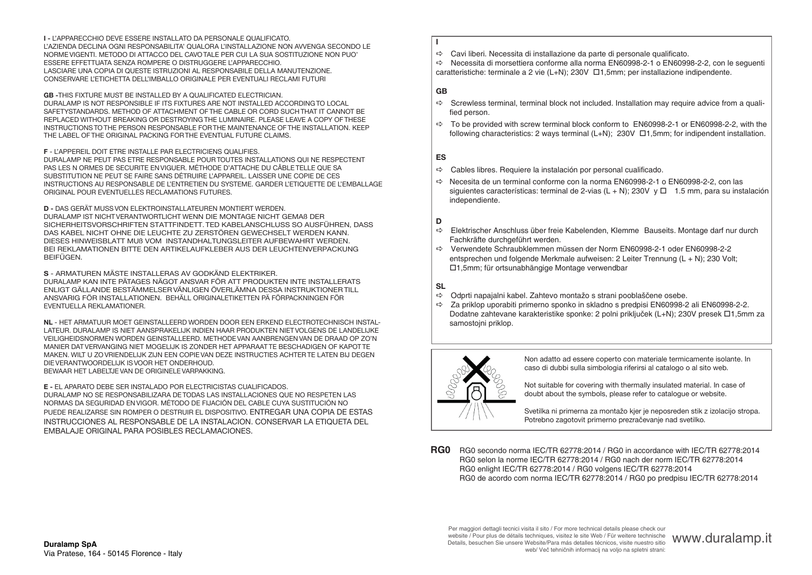**I -** L'APPARECCHIO DEVE ESSERE INSTALLATO DA PERSONALE QUALIFICATO. L'AZIENDA DECLINA OGNI RESPONSABILITA' QUALORA L'INSTALLAZIONE NON AVVENGA SECONDO LE NORME VIGENTI. METODO DI ATTACCO DEL CAVO TALE PER CUI LA SUA SOSTITUZIONE NON PUO' ESSERE EFFETTUATA SENZA ROMPERE O DISTRUGGERE L'APPARECCHIO. LASCIARE UNA COPIA DI QUESTE ISTRUZIONI AL RESPONSABILE DELLA MANUTENZIONE. CONSERVARE L'ETICHETTA DELL'IMBALLO ORIGINALE PER EVENTUALI RECLAMI FUTURI

**GB -**THIS FIXTURE MUST BE INSTALLED BY A QUALIFICATED ELECTRICIAN. DURALAMP IS NOT RESPONSIBLE IF ITS FIXTURES ARE NOT INSTALLED ACCORDING TO LOCAL SAFETYSTANDARDS. METHOD OF ATTACHMENT OF THE CABLE OR CORD SUCH THAT IT CANNOT BE REPLACED WITHOUT BREAKING OR DESTROYING THE LUMINAIRE. PLEASE LEAVE A COPY OF THESE INSTRUCTIONS TO THE PERSON RESPONSABLE FOR THE MAINTENANCE OF THE INSTALLATION. KEEP THE LABEL OF THE ORIGINAL PACKING FOR THE EVENTUAL FUTURE CLAIMS.

#### **F** - L'APPEREIL DOIT ETRE INSTALLE PAR ELECTRICIENS QUALIFIES.

DURALAMP NE PEUT PAS ETRE RESPONSABLE POUR TOUTES INSTALLATIONS QUI NE RESPECTENT PAS LES N ORMES DE SECURITE EN VIGUER. MÉTHODE D'ATTACHE DU CÂBLE TELLE QUE SA SUBSTITUTION NE PEUT SE FAIRE SANS DÉTRUIRE L'APPAREIL. LAISSER UNE COPIE DE CES INSTRUCTIONS AU RESPONSABLE DE L'ENTRETIEN DU SYSTEME. GARDER L'ETIQUETTE DE L'EMBALLAGE ORIGINAL POUR EVENTUELLES RECLAMATIONS FUTURES.

#### **D -** DAS GERÄT MUSS VON ELEKTROINSTALLATEUREN MONTIERT WERDEN.

DURALAMP IST NICHT VERANTWORTLICHT WENN DIE MONTAGE NICHT GEMAß DER SICHERHEITSVORSCHRIFTEN STATTFINDETT. TED KABELANSCHLUSS SO AUSFÜHREN, DASS DAS KABEL NICHT OHNE DIE LEUCHTE ZU ZERSTÖREN GEWECHSELT WERDEN KANN. DIESES HINWEISBLATT MUß VOM INSTANDHALTUNGSLEITER AUFBEWAHRT WERDEN. BEI REKLAMATIONEN BITTE DEN ARTIKELAUFKLEBER AUS DER LEUCHTENVERPACKUNG **BEIFÜGEN** 

#### **S** - ARMATUREN MÄSTE INSTALLERAS AV GODKÄND ELEKTRIKER.

DURALAMP KAN INTE PÄTAGES NÄGOT ANSVAR FÖR ATT PRODUKTEN INTE INSTALLERATS ENLIGT GÄLLANDE BESTÄMMELSER VÄNLIGEN ÖVERLÄMNA DESSA INSTRUKTIONER TILL ANSVARIG FÖR INSTALLATIONEN. BEHÄLL ORIGINALETIKETTEN PÄ FÖRPACKNINGEN FÖR EVENTUELLA REKLAMATIONER.

**NL** - HET ARMATUUR MOET GEINSTALLEERD WORDEN DOOR EEN ERKEND ELECTROTECHNISCH INSTAL-LATEUR. DURALAMP IS NIET AANSPRAKELIJK INDIEN HAAR PRODUKTEN NIET VOLGENS DE LANDELIJKE VEILIGHEIDSNORMEN WORDEN GEINSTALLEERD. METHODE VAN AANBRENGEN VAN DE DRAAD OP ZO'N MANIER DAT VERVANGING NIET MOGELIJK IS ZONDER HET APPARAAT TE BESCHADIGEN OF KAPOT TE MAKEN. WILT U ZO VRIENDELIJK ZIJN EEN COPIE VAN DEZE INSTRUCTIES ACHTER TE LATEN BIJ DEGEN DIE VERANTWOORDELIJK IS VOOR HET ONDERHOUD. BEWAAR HET LABELTJE VAN DE ORIGINELE VARPAKKING.

#### **E -** EL APARATO DEBE SER INSTALADO POR ELECTRICISTAS CUALIFICADOS.

DURALAMP NO SE RESPONSABILIZARA DE TODAS LAS INSTALLACIONES QUE NO RESPETEN LAS NORMAS DA SEGURIDAD EN VIGOR. MÉTODO DE FIJACIÓN DEL CABLE CUYA SUSTITUCIÓN NO PUEDE REALIZARSE SIN ROMPER O DESTRUIR EL DISPOSITIVO. ENTREGAR UNA COPIA DE ESTAS INSTRUCCIONES AL RESPONSABLE DE LA INSTALACION. CONSERVAR LA ETIQUETA DEL EMBALAJE ORIGINAL PARA POSIBLES RECLAMACIONES.

#### $\Rightarrow$  Cavi liberi. Necessita di installazione da parte di personale qualificato.

 $\Rightarrow$  Necessita di morsettiera conforme alla norma EN60998-2-1 o EN60998-2-2, con le sequenti caratteristiche: terminale a 2 vie (L+N); 230V  $\Box$ 1,5mm; per installazione indipendente.

#### **GB**

**I** 

- $\Rightarrow$  Screwless terminal, terminal block not included. Installation may require advice from a qualified person.
- $\Rightarrow$  To be provided with screw terminal block conform to EN60998-2-1 or EN60998-2-2, with the following characteristics: 2 ways terminal  $(L+N)$ : 230V  $\Box$ 1,5mm; for indipendent installation.

#### **ES**

- $\Rightarrow$  Cables libres. Requiere la instalación por personal cualificado.
- $\Rightarrow$  Necesita de un terminal conforme con la norma EN60998-2-1 o EN60998-2-2, con las siguientes características: terminal de 2-vias (L + N): 230V  $\vee$   $\Box$  1.5 mm, para su instalación independiente.

#### **D**

- $\Rightarrow$  Elektrischer Anschluss über freie Kabelenden, Klemme Bauseits. Montage darf nur durch Fachkräfte durchgeführt werden.
- a Verwendete Schraubklemmen müssen der Norm EN60998-2-1 oder EN60998-2-2 entsprechen und folgende Merkmale aufweisen: 2 Leiter Trennung (L + N); 230 Volt; □1,5mm; für ortsunabhängige Montage verwendbar

#### **SL**

- $\Rightarrow$  Odprti napajalni kabel. Zahtevo montažo s strani pooblaščene osebe.<br> $\Rightarrow$  Za priklop uporabiti primerno sponko in skladno s predpisi EN60998-2
- Za priklop uporabiti primerno sponko in skladno s predpisi EN60998-2 ali EN60998-2-2. Dodatne zahtevane karakteristike sponke: 2 polni priključek (L+N); 230V presek □1,5mm za samostojni priklop.



Non adatto ad essere coperto con materiale termicamente isolante. In caso di dubbi sulla simbologia riferirsi al catalogo o al sito web.

Not suitable for covering with thermally insulated material. In case of doubt about the symbols, please refer to catalogue or website.

Svetilka ni primerna za montažo kjer je neposreden stik z izolacijo stropa. Potrebno zagotovit primerno prezračevanje nad svetilko.

**RG0** RG0 secondo norma IEC/TR 62778:2014 / RG0 in accordance with IEC/TR 62778:2014 RG0 selon la norme IEC/TR 62778:2014 / RG0 nach der norm IEC/TR 62778:2014 RG0 enlight IEC/TR 62778:2014 / RG0 volgens IEC/TR 62778:2014 RG0 de acordo com norma IEC/TR 62778:2014 / RG0 po predpisu IEC/TR 62778:2014

Per maggiori dettagli tecnici visita il sito / For more technical details please check our website / Pour plus de détails techniques, visitez le site Web / Für weitere technische Website / Pour plus de détails techniques, visitez le site Web / Für weitere technische WWW.duralamp.it<br>Details, besuchen Sie unsere Website/Para más detailles técnicos, visite nuestro sitio www.duralamp.it web/ Več tehničnih informacij na voljo na spletni strani: